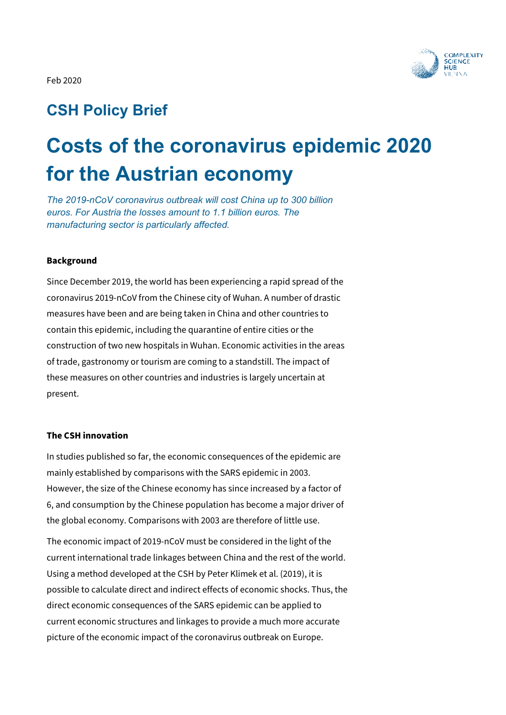

# **CSH Policy Brief**

# **Costs of the coronavirus epidemic 2020 for the Austrian economy**

*The 2019-nCoV coronavirus outbreak will cost China up to 300 billion euros. For Austria the losses amount to 1.1 billion euros. The manufacturing sector is particularly affected.* 

# **Background**

Since December 2019, the world has been experiencing a rapid spread of the coronavirus 2019-nCoV from the Chinese city of Wuhan. A number of drastic measures have been and are being taken in China and other countries to contain this epidemic, including the quarantine of entire cities or the construction of two new hospitals in Wuhan. Economic activities in the areas of trade, gastronomy or tourism are coming to a standstill. The impact of these measures on other countries and industries is largely uncertain at present.

# **The CSH innovation**

In studies published so far, the economic consequences of the epidemic are mainly established by comparisons with the SARS epidemic in 2003. However, the size of the Chinese economy has since increased by a factor of 6, and consumption by the Chinese population has become a major driver of the global economy. Comparisons with 2003 are therefore of little use.

The economic impact of 2019-nCoV must be considered in the light of the current international trade linkages between China and the rest of the world. Using a method developed at the CSH by Peter Klimek et al. (2019), it is possible to calculate direct and indirect effects of economic shocks. Thus, the direct economic consequences of the SARS epidemic can be applied to current economic structures and linkages to provide a much more accurate picture of the economic impact of the coronavirus outbreak on Europe.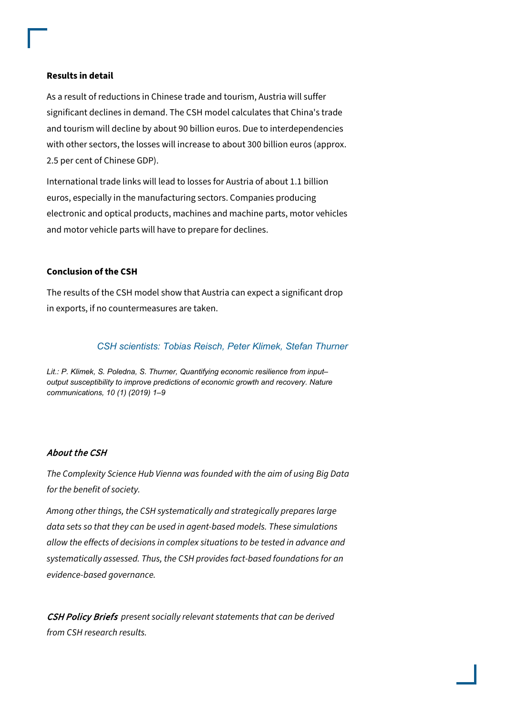#### **Results in detail**

As a result of reductions in Chinese trade and tourism, Austria will suffer significant declines in demand. The CSH model calculates that China's trade and tourism will decline by about 90 billion euros. Due to interdependencies with other sectors, the losses will increase to about 300 billion euros (approx. 2.5 per cent of Chinese GDP).

International trade links will lead to losses for Austria of about 1.1 billion euros, especially in the manufacturing sectors. Companies producing electronic and optical products, machines and machine parts, motor vehicles and motor vehicle parts will have to prepare for declines.

# **Conclusion of the CSH**

The results of the CSH model show that Austria can expect a significant drop in exports, if no countermeasures are taken.

# *CSH scientists: Tobias Reisch, Peter Klimek, Stefan Thurner*

*Lit.: P. Klimek, S. Poledna, S. Thurner, Quantifying economic resilience from input– output susceptibility to improve predictions of economic growth and recovery. Nature communications, 10 (1) (2019) 1–9*

# About the CSH

The Complexity Science Hub Vienna was founded with the aim of using Big Data for the benefit of society.

Among other things, the CSH systematically and strategically prepares large data sets so that they can be used in agent-based models. These simulations allow the effects of decisions in complex situations to be tested in advance and systematically assessed. Thus, the CSH provides fact-based foundations for an evidence-based governance.

CSH Policy Briefs present socially relevant statements that can be derived from CSH research results.